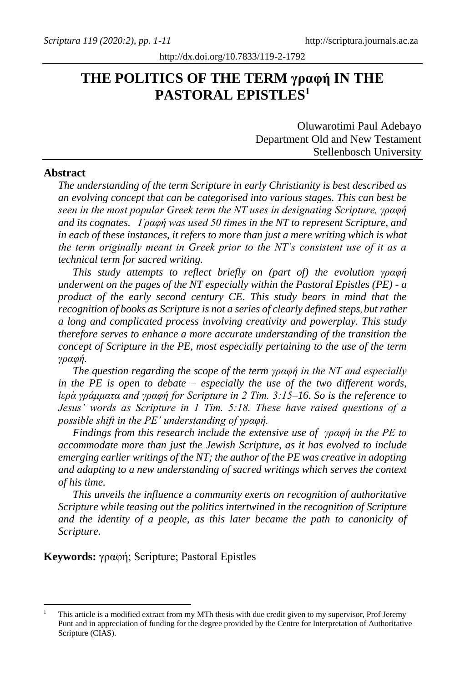# **THE POLITICS OF THE TERM γραφή IN THE PASTORAL EPISTLES<sup>1</sup>**

Oluwarotimi Paul Adebayo Department Old and New Testament Stellenbosch University

#### **Abstract**

*The understanding of the term Scripture in early Christianity is best described as an evolving concept that can be categorised into various stages. This can best be seen in the most popular Greek term the NT uses in designating Scripture, γραφή and its cognates. Γραφή was used 50 times in the NT to represent Scripture, and in each of these instances, it refers to more than just a mere writing which is what the term originally meant in Greek prior to the NT's consistent use of it as a technical term for sacred writing.*

*This study attempts to reflect briefly on (part of) the evolution γραφή underwent on the pages of the NT especially within the Pastoral Epistles (PE) - a product of the early second century CE. This study bears in mind that the recognition of books as Scripture is not a series of clearly defined steps*, *but rather a long and complicated process involving creativity and powerplay. This study therefore serves to enhance a more accurate understanding of the transition the concept of Scripture in the PE, most especially pertaining to the use of the term γραφή.*

*The question regarding the scope of the term γραφή in the NT and especially in the PE is open to debate – especially the use of the two different words, ἱερὰ γράμματα and γραφή for Scripture in 2 Tim. 3:15–16. So is the reference to Jesus' words as Scripture in 1 Tim. 5:18. These have raised questions of a possible shift in the PE' understanding of γραφή.* 

*Findings from this research include the extensive use of γραφή in the PE to accommodate more than just the Jewish Scripture, as it has evolved to include emerging earlier writings of the NT; the author of the PE was creative in adopting and adapting to a new understanding of sacred writings which serves the context of his time.*

*This unveils the influence a community exerts on recognition of authoritative Scripture while teasing out the politics intertwined in the recognition of Scripture and the identity of a people, as this later became the path to canonicity of Scripture.*

**Keywords:** γραφή; Scripture; Pastoral Epistles

<sup>1</sup> This article is a modified extract from my MTh thesis with due credit given to my supervisor, Prof Jeremy Punt and in appreciation of funding for the degree provided by the Centre for Interpretation of Authoritative Scripture (CIAS).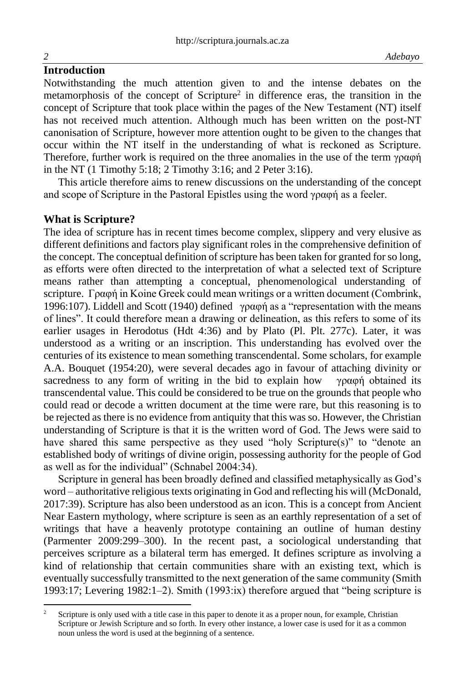### **Introduction**

Notwithstanding the much attention given to and the intense debates on the metamorphosis of the concept of Scripture<sup>2</sup> in difference eras, the transition in the concept of Scripture that took place within the pages of the New Testament (NT) itself has not received much attention. Although much has been written on the post-NT canonisation of Scripture, however more attention ought to be given to the changes that occur within the NT itself in the understanding of what is reckoned as Scripture. Therefore, further work is required on the three anomalies in the use of the term γραφή in the NT (1 Timothy 5:18; 2 Timothy 3:16; and 2 Peter 3:16).

This article therefore aims to renew discussions on the understanding of the concept and scope of Scripture in the Pastoral Epistles using the word γραφή as a feeler.

### **What is Scripture?**

The idea of scripture has in recent times become complex, slippery and very elusive as different definitions and factors play significant roles in the comprehensive definition of the concept. The conceptual definition of scripture has been taken for granted for so long, as efforts were often directed to the interpretation of what a selected text of Scripture means rather than attempting a conceptual, phenomenological understanding of scripture. Γραφή in Koine Greek could mean writings or a written document (Combrink, 1996:107). Liddell and Scott (1940) defined γραφή as a "representation with the means of lines". It could therefore mean a drawing or delineation, as this refers to some of its earlier usages in Herodotus (Hdt 4:36) and by Plato (Pl. Plt. 277c). Later, it was understood as a writing or an inscription. This understanding has evolved over the centuries of its existence to mean something transcendental. Some scholars, for example A.A. Bouquet (1954:20), were several decades ago in favour of attaching divinity or sacredness to any form of writing in the bid to explain how  $\gamma \rho \alpha \phi \eta$  obtained its transcendental value. This could be considered to be true on the grounds that people who could read or decode a written document at the time were rare, but this reasoning is to be rejected as there is no evidence from antiquity that this was so. However, the Christian understanding of Scripture is that it is the written word of God. The Jews were said to have shared this same perspective as they used "holy Scripture(s)" to "denote an established body of writings of divine origin, possessing authority for the people of God as well as for the individual" (Schnabel 2004:34).

Scripture in general has been broadly defined and classified metaphysically as God's word – authoritative religious texts originating in God and reflecting his will (McDonald, 2017:39). Scripture has also been understood as an icon. This is a concept from Ancient Near Eastern mythology, where scripture is seen as an earthly representation of a set of writings that have a heavenly prototype containing an outline of human destiny (Parmenter 2009:299–300). In the recent past, a sociological understanding that perceives scripture as a bilateral term has emerged. It defines scripture as involving a kind of relationship that certain communities share with an existing text, which is eventually successfully transmitted to the next generation of the same community (Smith 1993:17; Levering 1982:1–2). Smith (1993:ix) therefore argued that "being scripture is

<sup>&</sup>lt;sup>2</sup> Scripture is only used with a title case in this paper to denote it as a proper noun, for example, Christian Scripture or Jewish Scripture and so forth. In every other instance, a lower case is used for it as a common noun unless the word is used at the beginning of a sentence.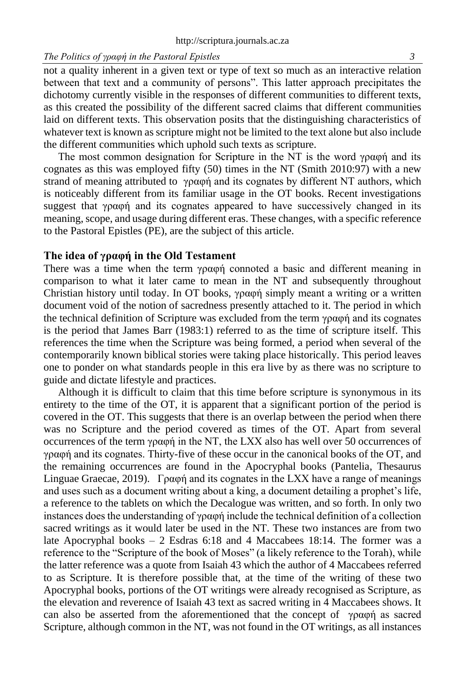#### *The Politics of γραφή in the Pastoral Epistles 3*

not a quality inherent in a given text or type of text so much as an interactive relation between that text and a community of persons". This latter approach precipitates the dichotomy currently visible in the responses of different communities to different texts, as this created the possibility of the different sacred claims that different communities laid on different texts. This observation posits that the distinguishing characteristics of whatever text is known as scripture might not be limited to the text alone but also include the different communities which uphold such texts as scripture.

The most common designation for Scripture in the NT is the word γραφή and its cognates as this was employed fifty (50) times in the NT (Smith 2010:97) with a new strand of meaning attributed to γραφή and its cognates by different NT authors, which is noticeably different from its familiar usage in the OT books. Recent investigations suggest that γραφή and its cognates appeared to have successively changed in its meaning, scope, and usage during different eras. These changes, with a specific reference to the Pastoral Epistles (PE), are the subject of this article.

#### **The idea of γραφή in the Old Testament**

There was a time when the term  $\gamma \rho \alpha \phi \dot{\eta}$  connoted a basic and different meaning in comparison to what it later came to mean in the NT and subsequently throughout Christian history until today. In OT books, γραφή simply meant a writing or a written document void of the notion of sacredness presently attached to it. The period in which the technical definition of Scripture was excluded from the term γραφή and its cognates is the period that James Barr (1983:1) referred to as the time of scripture itself. This references the time when the Scripture was being formed, a period when several of the contemporarily known biblical stories were taking place historically. This period leaves one to ponder on what standards people in this era live by as there was no scripture to guide and dictate lifestyle and practices.

Although it is difficult to claim that this time before scripture is synonymous in its entirety to the time of the OT, it is apparent that a significant portion of the period is covered in the OT. This suggests that there is an overlap between the period when there was no Scripture and the period covered as times of the OT. Apart from several occurrences of the term γραφή in the NT, the LXX also has well over 50 occurrences of γραφή and its cognates. Thirty-five of these occur in the canonical books of the OT, and the remaining occurrences are found in the Apocryphal books (Pantelia, Thesaurus Linguae Graecae, 2019). Γραφή and its cognates in the LXX have a range of meanings and uses such as a document writing about a king, a document detailing a prophet's life, a reference to the tablets on which the Decalogue was written, and so forth. In only two instances does the understanding of γραφή include the technical definition of a collection sacred writings as it would later be used in the NT. These two instances are from two late Apocryphal books – 2 Esdras 6:18 and 4 Maccabees 18:14. The former was a reference to the "Scripture of the book of Moses" (a likely reference to the Torah), while the latter reference was a quote from Isaiah 43 which the author of 4 Maccabees referred to as Scripture. It is therefore possible that, at the time of the writing of these two Apocryphal books, portions of the OT writings were already recognised as Scripture, as the elevation and reverence of Isaiah 43 text as sacred writing in 4 Maccabees shows. It can also be asserted from the aforementioned that the concept of  $\gamma \rho \alpha \phi \dot{\eta}$  as sacred Scripture, although common in the NT, was not found in the OT writings, as all instances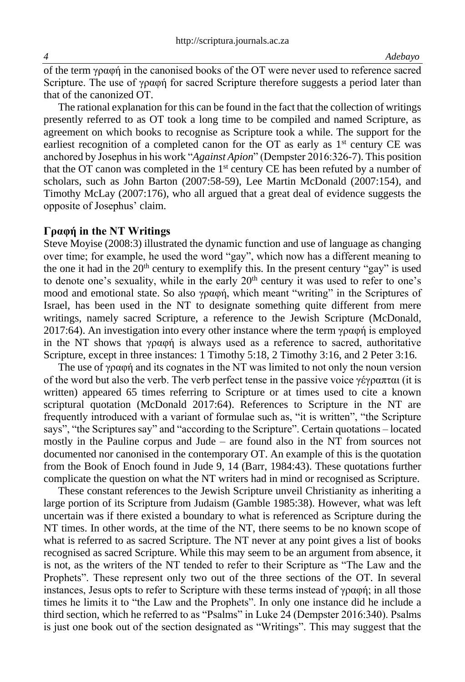of the term γραφή in the canonised books of the OT were never used to reference sacred Scripture. The use of γραφή for sacred Scripture therefore suggests a period later than that of the canonized OT.

The rational explanation for this can be found in the fact that the collection of writings presently referred to as OT took a long time to be compiled and named Scripture, as agreement on which books to recognise as Scripture took a while. The support for the earliest recognition of a completed canon for the OT as early as  $1<sup>st</sup>$  century CE was anchored by Josephus in his work "*Against Apion*" (Dempster 2016:326-7). This position that the OT canon was completed in the  $1<sup>st</sup>$  century CE has been refuted by a number of scholars, such as John Barton (2007:58-59), Lee Martin McDonald (2007:154), and Timothy McLay (2007:176), who all argued that a great deal of evidence suggests the opposite of Josephus' claim.

#### **Γραφή in the NT Writings**

Steve Moyise (2008:3) illustrated the dynamic function and use of language as changing over time; for example, he used the word "gay", which now has a different meaning to the one it had in the  $20<sup>th</sup>$  century to exemplify this. In the present century "gay" is used to denote one's sexuality, while in the early  $20<sup>th</sup>$  century it was used to refer to one's mood and emotional state. So also γραφή, which meant "writing" in the Scriptures of Israel, has been used in the NT to designate something quite different from mere writings, namely sacred Scripture, a reference to the Jewish Scripture (McDonald, 2017:64). An investigation into every other instance where the term  $\gamma \rho \alpha \phi \dot{\eta}$  is employed in the NT shows that γραφή is always used as a reference to sacred, authoritative Scripture, except in three instances: 1 Timothy 5:18, 2 Timothy 3:16, and 2 Peter 3:16.

The use of γραφή and its cognates in the NT was limited to not only the noun version of the word but also the verb. The verb perfect tense in the passive voice γέγραπται (it is written) appeared 65 times referring to Scripture or at times used to cite a known scriptural quotation (McDonald 2017:64). References to Scripture in the NT are frequently introduced with a variant of formulae such as, "it is written", "the Scripture says", "the Scriptures say" and "according to the Scripture". Certain quotations – located mostly in the Pauline corpus and Jude – are found also in the NT from sources not documented nor canonised in the contemporary OT. An example of this is the quotation from the Book of Enoch found in Jude 9, 14 (Barr, 1984:43). These quotations further complicate the question on what the NT writers had in mind or recognised as Scripture.

These constant references to the Jewish Scripture unveil Christianity as inheriting a large portion of its Scripture from Judaism (Gamble 1985:38). However, what was left uncertain was if there existed a boundary to what is referenced as Scripture during the NT times. In other words, at the time of the NT, there seems to be no known scope of what is referred to as sacred Scripture. The NT never at any point gives a list of books recognised as sacred Scripture. While this may seem to be an argument from absence, it is not, as the writers of the NT tended to refer to their Scripture as "The Law and the Prophets". These represent only two out of the three sections of the OT. In several instances, Jesus opts to refer to Scripture with these terms instead of  $\gamma \rho \alpha \varphi \eta$ ; in all those times he limits it to "the Law and the Prophets". In only one instance did he include a third section, which he referred to as "Psalms" in Luke 24 (Dempster 2016:340). Psalms is just one book out of the section designated as "Writings". This may suggest that the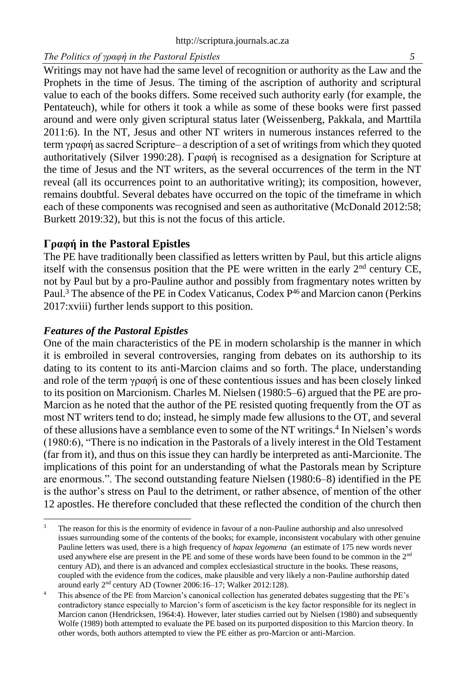### *The Politics of γραφή in the Pastoral Epistles 5*

Writings may not have had the same level of recognition or authority as the Law and the Prophets in the time of Jesus. The timing of the ascription of authority and scriptural value to each of the books differs. Some received such authority early (for example, the Pentateuch), while for others it took a while as some of these books were first passed around and were only given scriptural status later (Weissenberg, Pakkala, and Marttila 2011:6). In the NT, Jesus and other NT writers in numerous instances referred to the term γραφή as sacred Scripture– a description of a set of writings from which they quoted authoritatively (Silver 1990:28). Γραφή is recognised as a designation for Scripture at the time of Jesus and the NT writers, as the several occurrences of the term in the NT reveal (all its occurrences point to an authoritative writing); its composition, however, remains doubtful. Several debates have occurred on the topic of the timeframe in which each of these components was recognised and seen as authoritative (McDonald 2012:58; Burkett 2019:32), but this is not the focus of this article.

### **Γραφή in the Pastoral Epistles**

The PE have traditionally been classified as letters written by Paul, but this article aligns itself with the consensus position that the PE were written in the early  $2<sup>nd</sup>$  century CE, not by Paul but by a pro-Pauline author and possibly from fragmentary notes written by Paul.<sup>3</sup> The absence of the PE in Codex Vaticanus, Codex  $P^{46}$  and Marcion canon (Perkins 2017:xviii) further lends support to this position.

### *Features of the Pastoral Epistles*

One of the main characteristics of the PE in modern scholarship is the manner in which it is embroiled in several controversies, ranging from debates on its authorship to its dating to its content to its anti-Marcion claims and so forth. The place, understanding and role of the term γραφή is one of these contentious issues and has been closely linked to its position on Marcionism. Charles M. Nielsen (1980:5–6) argued that the PE are pro-Marcion as he noted that the author of the PE resisted quoting frequently from the OT as most NT writers tend to do; instead, he simply made few allusions to the OT, and several of these allusions have a semblance even to some of the NT writings.<sup>4</sup> In Nielsen's words (1980:6), "There is no indication in the Pastorals of a lively interest in the Old Testament (far from it), and thus on this issue they can hardly be interpreted as anti-Marcionite. The implications of this point for an understanding of what the Pastorals mean by Scripture are enormous.". The second outstanding feature Nielsen (1980:6–8) identified in the PE is the author's stress on Paul to the detriment, or rather absence, of mention of the other 12 apostles. He therefore concluded that these reflected the condition of the church then

<sup>3</sup> The reason for this is the enormity of evidence in favour of a non-Pauline authorship and also unresolved issues surrounding some of the contents of the books; for example, inconsistent vocabulary with other genuine Pauline letters was used, there is a high frequency of *hapax legomena* (an estimate of 175 new words never used anywhere else are present in the PE and some of these words have been found to be common in the 2<sup>nd</sup> century AD), and there is an advanced and complex ecclesiastical structure in the books. These reasons, coupled with the evidence from the codices, make plausible and very likely a non-Pauline authorship dated around early 2nd century AD (Towner 2006:16–17; Walker 2012:128).

This absence of the PE from Marcion's canonical collection has generated debates suggesting that the PE's contradictory stance especially to Marcion's form of asceticism is the key factor responsible for its neglect in Marcion canon (Hendricksen, 1964:4). However, later studies carried out by Nielsen (1980) and subsequently Wolfe (1989) both attempted to evaluate the PE based on its purported disposition to this Marcion theory. In other words, both authors attempted to view the PE either as pro-Marcion or anti-Marcion.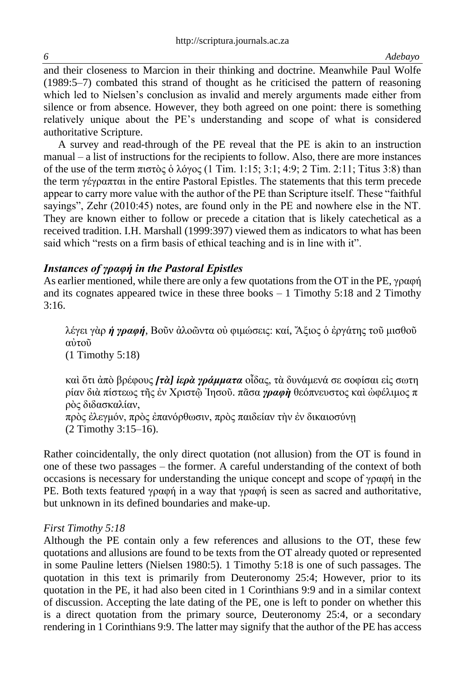and their closeness to Marcion in their thinking and doctrine. Meanwhile Paul Wolfe (1989:5–7) combated this strand of thought as he criticised the pattern of reasoning which led to Nielsen's conclusion as invalid and merely arguments made either from silence or from absence. However, they both agreed on one point: there is something relatively unique about the PE's understanding and scope of what is considered authoritative Scripture.

A survey and read-through of the PE reveal that the PE is akin to an instruction manual – a list of instructions for the recipients to follow. Also, there are more instances of the use of the term πιστὸς ὁ λόγος (1 Tim. 1:15; 3:1; 4:9; 2 Tim. 2:11; Titus 3:8) than the term γέγραπται in the entire Pastoral Epistles. The statements that this term precede appear to carry more value with the author of the PE than Scripture itself. These "faithful sayings", Zehr (2010:45) notes, are found only in the PE and nowhere else in the NT. They are known either to follow or precede a citation that is likely catechetical as a received tradition. I.H. Marshall (1999:397) viewed them as indicators to what has been said which "rests on a firm basis of ethical teaching and is in line with it".

### *Instances of γραφή in the Pastoral Epistles*

As earlier mentioned, while there are only a few quotations from the OT in the PE, γραφή and its cognates appeared twice in these three books  $-1$  Timothy 5:18 and 2 Timothy 3:16.

λέγει γὰρ *ἡ γραφή*, Βοῦν ἀλοῶντα οὐ φιμώσεις: καί, Ἄξιος ὁ ἐργάτης τοῦ μισθοῦ αὐτοῦ (1 Timothy 5:18)

καὶ ὅτι ἀπὸ βρέφους *[τὰ] ἱερὰ γράμματα* οἶδας, τὰ δυνάμενά σε σοφίσαι εἰς σωτη ρίαν διὰ πίστεως τῆς ἐν Χριστῷ Ἰησοῦ. πᾶσα *γραφὴ* θεόπνευστος καὶ ὠφέλιμος π ρὸς διδασκαλίαν, πρὸς ἐλεγμόν, πρὸς ἐπανόρθωσιν, πρὸς παιδείαν τὴν ἐν δικαιοσύνῃ

(2 Timothy 3:15–16).

Rather coincidentally, the only direct quotation (not allusion) from the OT is found in one of these two passages – the former. A careful understanding of the context of both occasions is necessary for understanding the unique concept and scope of γραφή in the PE. Both texts featured γραφή in a way that γραφή is seen as sacred and authoritative, but unknown in its defined boundaries and make-up.

### *First Timothy 5:18*

Although the PE contain only a few references and allusions to the OT, these few quotations and allusions are found to be texts from the OT already quoted or represented in some Pauline letters (Nielsen 1980:5). 1 Timothy 5:18 is one of such passages. The quotation in this text is primarily from Deuteronomy 25:4; However, prior to its quotation in the PE, it had also been cited in 1 Corinthians 9:9 and in a similar context of discussion. Accepting the late dating of the PE, one is left to ponder on whether this is a direct quotation from the primary source, Deuteronomy 25:4, or a secondary rendering in 1 Corinthians 9:9. The latter may signify that the author of the PE has access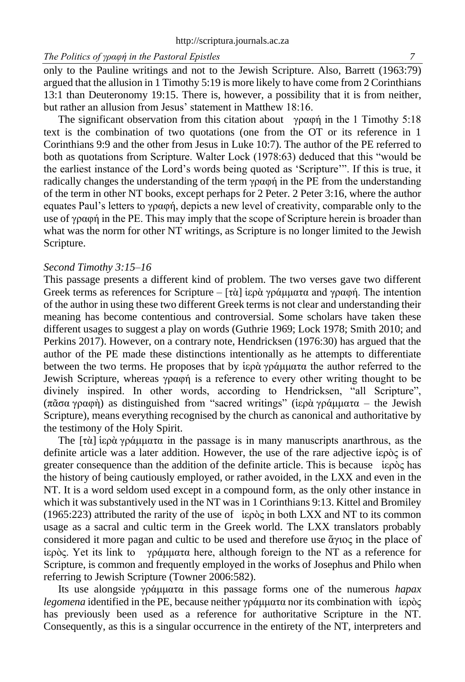only to the Pauline writings and not to the Jewish Scripture. Also, Barrett (1963:79) argued that the allusion in 1 Timothy 5:19 is more likely to have come from 2 Corinthians 13:1 than Deuteronomy 19:15. There is, however, a possibility that it is from neither, but rather an allusion from Jesus' statement in Matthew 18:16.

The significant observation from this citation about γραφή in the 1 Timothy 5:18 text is the combination of two quotations (one from the OT or its reference in 1 Corinthians 9:9 and the other from Jesus in Luke 10:7). The author of the PE referred to both as quotations from Scripture. Walter Lock (1978:63) deduced that this "would be the earliest instance of the Lord's words being quoted as 'Scripture'". If this is true, it radically changes the understanding of the term γραφή in the PE from the understanding of the term in other NT books, except perhaps for 2 Peter. 2 Peter 3:16, where the author equates Paul's letters to γραφή, depicts a new level of creativity, comparable only to the use of γραφή in the PE. This may imply that the scope of Scripture herein is broader than what was the norm for other NT writings, as Scripture is no longer limited to the Jewish Scripture.

#### *Second Timothy 3:15–16*

This passage presents a different kind of problem. The two verses gave two different Greek terms as references for Scripture –  $[\tau \dot{\alpha}]$  iερὰ γράμματα and γραφή. The intention of the author in using these two different Greek terms is not clear and understanding their meaning has become contentious and controversial. Some scholars have taken these different usages to suggest a play on words (Guthrie 1969; Lock 1978; Smith 2010; and Perkins 2017). However, on a contrary note, Hendricksen (1976:30) has argued that the author of the PE made these distinctions intentionally as he attempts to differentiate between the two terms. He proposes that by ἱερὰ γράμματα the author referred to the Jewish Scripture, whereas γραφή is a reference to every other writing thought to be divinely inspired. In other words, according to Hendricksen, "all Scripture", (πᾶσα γραφὴ) as distinguished from "sacred writings" (ἱερὰ γράμματα – the Jewish Scripture), means everything recognised by the church as canonical and authoritative by the testimony of the Holy Spirit.

The  $[\tau \alpha]$  iερὰ γράμματα in the passage is in many manuscripts anarthrous, as the definite article was a later addition. However, the use of the rare adjective ἱερὸς is of greater consequence than the addition of the definite article. This is because ἱερὸς has the history of being cautiously employed, or rather avoided, in the LXX and even in the NT. It is a word seldom used except in a compound form, as the only other instance in which it was substantively used in the NT was in 1 Corinthians 9:13. Kittel and Bromiley  $(1965:223)$  attributed the rarity of the use of  $\iep\o\c$  in both LXX and NT to its common usage as a sacral and cultic term in the Greek world. The LXX translators probably considered it more pagan and cultic to be used and therefore use ἅγιος in the place of ἱερὸς. Yet its link to γράμματα here, although foreign to the NT as a reference for Scripture, is common and frequently employed in the works of Josephus and Philo when referring to Jewish Scripture (Towner 2006:582).

Its use alongside γράμματα in this passage forms one of the numerous *hapax legomena* identified in the PE, because neither γράμματα nor its combination with ἱερὸς has previously been used as a reference for authoritative Scripture in the NT. Consequently, as this is a singular occurrence in the entirety of the NT, interpreters and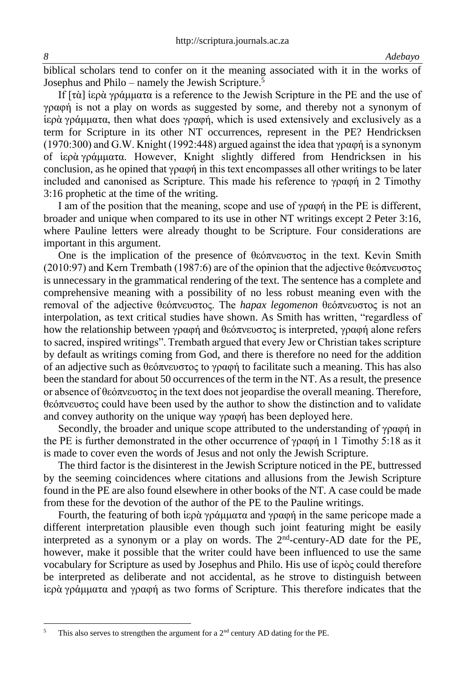biblical scholars tend to confer on it the meaning associated with it in the works of Josephus and Philo – namely the Jewish Scripture.<sup>5</sup>

If [τὰ] ἱερὰ γράμματα is a reference to the Jewish Scripture in the PE and the use of γραφή is not a play on words as suggested by some, and thereby not a synonym of ἱερὰ γράμματα, then what does γραφή, which is used extensively and exclusively as a term for Scripture in its other NT occurrences, represent in the PE? Hendricksen (1970:300) and G.W. Knight (1992:448) argued against the idea that γραφή is a synonym of ἱερὰ γράμματα. However, Knight slightly differed from Hendricksen in his conclusion, as he opined that γραφή in this text encompasses all other writings to be later included and canonised as Scripture. This made his reference to γραφή in 2 Timothy 3:16 prophetic at the time of the writing.

I am of the position that the meaning, scope and use of γραφή in the PE is different, broader and unique when compared to its use in other NT writings except 2 Peter 3:16, where Pauline letters were already thought to be Scripture. Four considerations are important in this argument.

One is the implication of the presence of θεόπνευστος in the text. Kevin Smith (2010:97) and Kern Trembath (1987:6) are of the opinion that the adjective θεόπνευστος is unnecessary in the grammatical rendering of the text. The sentence has a complete and comprehensive meaning with a possibility of no less robust meaning even with the removal of the adjective θεόπνευστος. The *hapax legomenon* θεόπνευστος is not an interpolation, as text critical studies have shown. As Smith has written, "regardless of how the relationship between γραφή and θεόπνευστος is interpreted, γραφή alone refers to sacred, inspired writings". Trembath argued that every Jew or Christian takes scripture by default as writings coming from God, and there is therefore no need for the addition of an adjective such as θεόπνευστος to γραφή to facilitate such a meaning. This has also been the standard for about 50 occurrences of the term in the NT. As a result, the presence or absence of θεόπνευστος in the text does not jeopardise the overall meaning. Therefore, θεόπνευστος could have been used by the author to show the distinction and to validate and convey authority on the unique way γραφή has been deployed here.

Secondly, the broader and unique scope attributed to the understanding of γραφή in the PE is further demonstrated in the other occurrence of γραφή in 1 Timothy 5:18 as it is made to cover even the words of Jesus and not only the Jewish Scripture.

The third factor is the disinterest in the Jewish Scripture noticed in the PE, buttressed by the seeming coincidences where citations and allusions from the Jewish Scripture found in the PE are also found elsewhere in other books of the NT. A case could be made from these for the devotion of the author of the PE to the Pauline writings.

Fourth, the featuring of both ἱερὰ γράμματα and γραφή in the same pericope made a different interpretation plausible even though such joint featuring might be easily interpreted as a synonym or a play on words. The 2<sup>nd</sup>-century-AD date for the PE, however, make it possible that the writer could have been influenced to use the same vocabulary for Scripture as used by Josephus and Philo. His use of ἱερὸς could therefore be interpreted as deliberate and not accidental, as he strove to distinguish between ἱερὰ γράμματα and γραφή as two forms of Scripture. This therefore indicates that the

This also serves to strengthen the argument for a  $2<sup>nd</sup>$  century AD dating for the PE.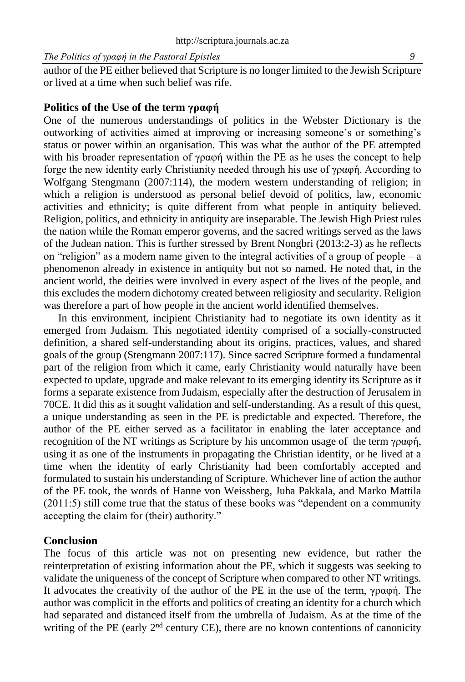author of the PE either believed that Scripture is no longer limited to the Jewish Scripture or lived at a time when such belief was rife.

#### **Politics of the Use of the term γραφή**

One of the numerous understandings of politics in the Webster Dictionary is the outworking of activities aimed at improving or increasing someone's or something's status or power within an organisation. This was what the author of the PE attempted with his broader representation of  $\gamma \rho \alpha \phi \dot{\gamma}$  within the PE as he uses the concept to help forge the new identity early Christianity needed through his use of γραφή. According to Wolfgang Stengmann (2007:114), the modern western understanding of religion; in which a religion is understood as personal belief devoid of politics, law, economic activities and ethnicity; is quite different from what people in antiquity believed. Religion, politics, and ethnicity in antiquity are inseparable. The Jewish High Priest rules the nation while the Roman emperor governs, and the sacred writings served as the laws of the Judean nation. This is further stressed by Brent Nongbri (2013:2-3) as he reflects on "religion" as a modern name given to the integral activities of a group of people – a phenomenon already in existence in antiquity but not so named. He noted that, in the ancient world, the deities were involved in every aspect of the lives of the people, and this excludes the modern dichotomy created between religiosity and secularity. Religion was therefore a part of how people in the ancient world identified themselves.

In this environment, incipient Christianity had to negotiate its own identity as it emerged from Judaism. This negotiated identity comprised of a socially-constructed definition, a shared self-understanding about its origins, practices, values, and shared goals of the group (Stengmann 2007:117). Since sacred Scripture formed a fundamental part of the religion from which it came, early Christianity would naturally have been expected to update, upgrade and make relevant to its emerging identity its Scripture as it forms a separate existence from Judaism, especially after the destruction of Jerusalem in 70CE. It did this as it sought validation and self-understanding. As a result of this quest, a unique understanding as seen in the PE is predictable and expected. Therefore, the author of the PE either served as a facilitator in enabling the later acceptance and recognition of the NT writings as Scripture by his uncommon usage of the term γραφή, using it as one of the instruments in propagating the Christian identity, or he lived at a time when the identity of early Christianity had been comfortably accepted and formulated to sustain his understanding of Scripture. Whichever line of action the author of the PE took, the words of Hanne von Weissberg, Juha Pakkala, and Marko Mattila (2011:5) still come true that the status of these books was "dependent on a community accepting the claim for (their) authority."

#### **Conclusion**

The focus of this article was not on presenting new evidence, but rather the reinterpretation of existing information about the PE, which it suggests was seeking to validate the uniqueness of the concept of Scripture when compared to other NT writings. It advocates the creativity of the author of the PE in the use of the term, γραφή. The author was complicit in the efforts and politics of creating an identity for a church which had separated and distanced itself from the umbrella of Judaism. As at the time of the writing of the PE (early  $2<sup>nd</sup>$  century CE), there are no known contentions of canonicity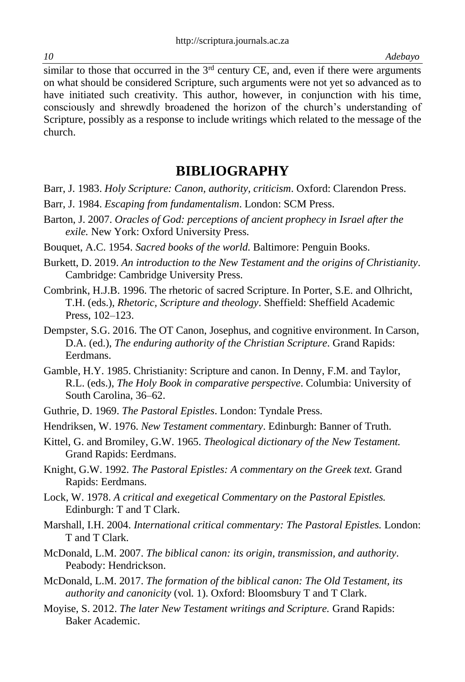similar to those that occurred in the  $3<sup>rd</sup>$  century CE, and, even if there were arguments on what should be considered Scripture, such arguments were not yet so advanced as to have initiated such creativity. This author, however, in conjunction with his time, consciously and shrewdly broadened the horizon of the church's understanding of Scripture, possibly as a response to include writings which related to the message of the church.

## **BIBLIOGRAPHY**

- Barr, J. 1983. *Holy Scripture: Canon, authority, criticism*. Oxford: Clarendon Press.
- Barr, J. 1984. *Escaping from fundamentalism*. London: SCM Press.
- Barton, J. 2007. *Oracles of God: perceptions of ancient prophecy in Israel after the exile.* New York: Oxford University Press.

Bouquet, A.C. 1954. *Sacred books of the world.* Baltimore: Penguin Books.

- Burkett, D. 2019. *An introduction to the New Testament and the origins of Christianity*. Cambridge: Cambridge University Press.
- Combrink, H.J.B. 1996. The rhetoric of sacred Scripture. In Porter, S.E. and Olhricht, T.H. (eds.), *Rhetoric, Scripture and theology*. Sheffield: Sheffield Academic Press, 102–123.
- Dempster, S.G. 2016. The OT Canon, Josephus, and cognitive environment. In Carson, D.A. (ed.), *The enduring authority of the Christian Scripture*. Grand Rapids: Eerdmans.
- Gamble, H.Y. 1985. Christianity: Scripture and canon. In Denny, F.M. and Taylor, R.L. (eds.), *The Holy Book in comparative perspective*. Columbia: University of South Carolina, 36–62.
- Guthrie, D. 1969. *The Pastoral Epistles*. London: Tyndale Press.
- Hendriksen, W. 1976. *New Testament commentary*. Edinburgh: Banner of Truth.
- Kittel, G. and Bromiley, G.W. 1965. *Theological dictionary of the New Testament.*  Grand Rapids: Eerdmans.
- Knight, G.W. 1992. *The Pastoral Epistles: A commentary on the Greek text.* Grand Rapids: Eerdmans.
- Lock, W. 1978. *A critical and exegetical Commentary on the Pastoral Epistles.*  Edinburgh: T and T Clark.
- Marshall, I.H. 2004. *International critical commentary: The Pastoral Epistles.* London: T and T Clark.
- McDonald, L.M. 2007. *The biblical canon: its origin, transmission, and authority*. Peabody: Hendrickson.
- McDonald, L.M. 2017. *The formation of the biblical canon: The Old Testament, its authority and canonicity* (vol. 1). Oxford: Bloomsbury T and T Clark.
- Moyise, S. 2012. *The later New Testament writings and Scripture.* Grand Rapids: Baker Academic.